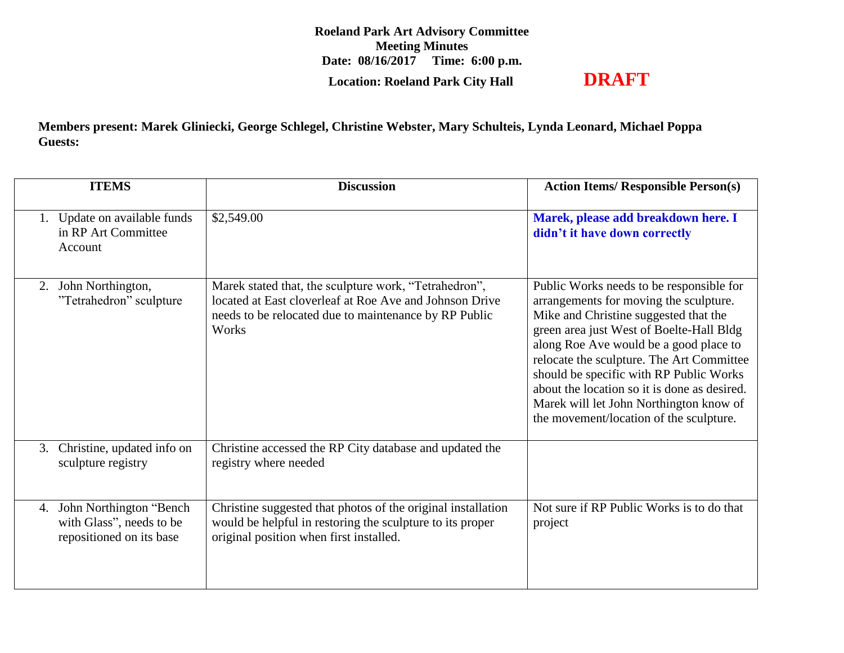**Roeland Park Art Advisory Committee Meeting Minutes Date: 08/16/2017 Time: 6:00 p.m. Location: Roeland Park City Hall DRAFT**

**Members present: Marek Gliniecki, George Schlegel, Christine Webster, Mary Schulteis, Lynda Leonard, Michael Poppa Guests:** 

|    | <b>ITEMS</b>                                                                     | <b>Discussion</b>                                                                                                                                                                  | <b>Action Items/ Responsible Person(s)</b>                                                                                                                                                                                                                                                                                                                                                                                                      |
|----|----------------------------------------------------------------------------------|------------------------------------------------------------------------------------------------------------------------------------------------------------------------------------|-------------------------------------------------------------------------------------------------------------------------------------------------------------------------------------------------------------------------------------------------------------------------------------------------------------------------------------------------------------------------------------------------------------------------------------------------|
|    | 1. Update on available funds<br>in RP Art Committee<br>Account                   | \$2,549.00                                                                                                                                                                         | Marek, please add breakdown here. I<br>didn't it have down correctly                                                                                                                                                                                                                                                                                                                                                                            |
| 2. | John Northington,<br>"Tetrahedron" sculpture                                     | Marek stated that, the sculpture work, "Tetrahedron",<br>located at East cloverleaf at Roe Ave and Johnson Drive<br>needs to be relocated due to maintenance by RP Public<br>Works | Public Works needs to be responsible for<br>arrangements for moving the sculpture.<br>Mike and Christine suggested that the<br>green area just West of Boelte-Hall Bldg<br>along Roe Ave would be a good place to<br>relocate the sculpture. The Art Committee<br>should be specific with RP Public Works<br>about the location so it is done as desired.<br>Marek will let John Northington know of<br>the movement/location of the sculpture. |
| 3. | Christine, updated info on<br>sculpture registry                                 | Christine accessed the RP City database and updated the<br>registry where needed                                                                                                   |                                                                                                                                                                                                                                                                                                                                                                                                                                                 |
| 4. | John Northington "Bench"<br>with Glass", needs to be<br>repositioned on its base | Christine suggested that photos of the original installation<br>would be helpful in restoring the sculpture to its proper<br>original position when first installed.               | Not sure if RP Public Works is to do that<br>project                                                                                                                                                                                                                                                                                                                                                                                            |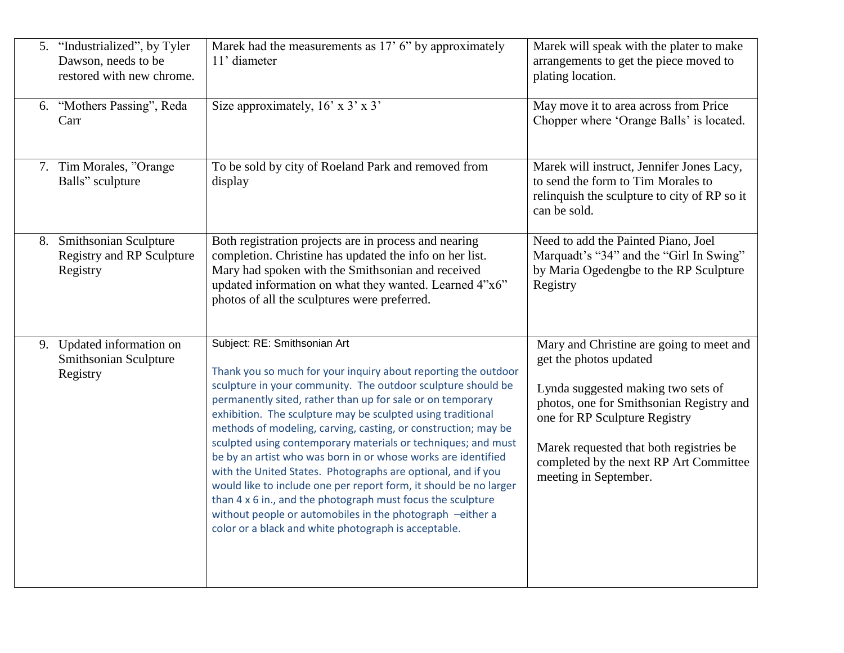| 5. | "Industrialized", by Tyler<br>Dawson, needs to be<br>restored with new chrome. | Marek had the measurements as 17' 6" by approximately<br>11' diameter                                                                                                                                                                                                                                                                                                                                                                                                                                                                                                                                                                                                                                                                                                                                                    | Marek will speak with the plater to make<br>arrangements to get the piece moved to<br>plating location.                                                                                                                                                                                             |
|----|--------------------------------------------------------------------------------|--------------------------------------------------------------------------------------------------------------------------------------------------------------------------------------------------------------------------------------------------------------------------------------------------------------------------------------------------------------------------------------------------------------------------------------------------------------------------------------------------------------------------------------------------------------------------------------------------------------------------------------------------------------------------------------------------------------------------------------------------------------------------------------------------------------------------|-----------------------------------------------------------------------------------------------------------------------------------------------------------------------------------------------------------------------------------------------------------------------------------------------------|
|    | 6. "Mothers Passing", Reda<br>Carr                                             | Size approximately, $16' \times 3' \times 3'$                                                                                                                                                                                                                                                                                                                                                                                                                                                                                                                                                                                                                                                                                                                                                                            | May move it to area across from Price<br>Chopper where 'Orange Balls' is located.                                                                                                                                                                                                                   |
|    | 7. Tim Morales, "Orange"<br>Balls" sculpture                                   | To be sold by city of Roeland Park and removed from<br>display                                                                                                                                                                                                                                                                                                                                                                                                                                                                                                                                                                                                                                                                                                                                                           | Marek will instruct, Jennifer Jones Lacy,<br>to send the form to Tim Morales to<br>relinquish the sculpture to city of RP so it<br>can be sold.                                                                                                                                                     |
|    | 8. Smithsonian Sculpture<br><b>Registry and RP Sculpture</b><br>Registry       | Both registration projects are in process and nearing<br>completion. Christine has updated the info on her list.<br>Mary had spoken with the Smithsonian and received<br>updated information on what they wanted. Learned 4"x6"<br>photos of all the sculptures were preferred.                                                                                                                                                                                                                                                                                                                                                                                                                                                                                                                                          | Need to add the Painted Piano, Joel<br>Marquadt's "34" and the "Girl In Swing"<br>by Maria Ogedengbe to the RP Sculpture<br>Registry                                                                                                                                                                |
|    | 9. Updated information on<br>Smithsonian Sculpture<br>Registry                 | Subject: RE: Smithsonian Art<br>Thank you so much for your inquiry about reporting the outdoor<br>sculpture in your community. The outdoor sculpture should be<br>permanently sited, rather than up for sale or on temporary<br>exhibition. The sculpture may be sculpted using traditional<br>methods of modeling, carving, casting, or construction; may be<br>sculpted using contemporary materials or techniques; and must<br>be by an artist who was born in or whose works are identified<br>with the United States. Photographs are optional, and if you<br>would like to include one per report form, it should be no larger<br>than 4 x 6 in., and the photograph must focus the sculpture<br>without people or automobiles in the photograph -either a<br>color or a black and white photograph is acceptable. | Mary and Christine are going to meet and<br>get the photos updated<br>Lynda suggested making two sets of<br>photos, one for Smithsonian Registry and<br>one for RP Sculpture Registry<br>Marek requested that both registries be<br>completed by the next RP Art Committee<br>meeting in September. |